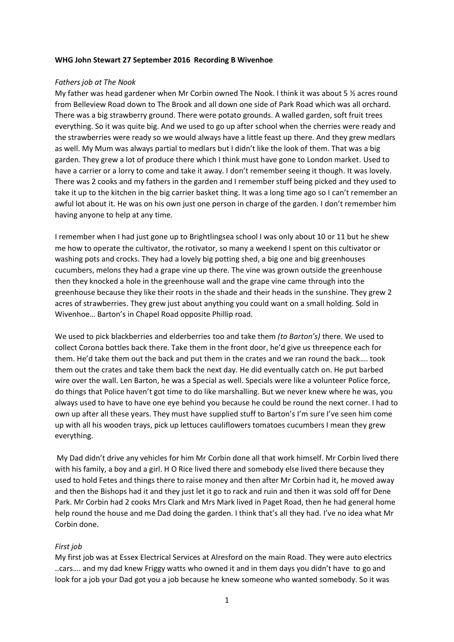### **WHG John Stewart 27 September 2016 Recording B Wivenhoe**

### *Fathers job at The Nook*

My father was head gardener when Mr Corbin owned The Nook. I think it was about 5 ½ acres round from Belleview Road down to The Brook and all down one side of Park Road which was all orchard. There was a big strawberry ground. There were potato grounds. A walled garden, soft fruit trees everything. So it was quite big. And we used to go up after school when the cherries were ready and the strawberries were ready so we would always have a little feast up there. And they grew medlars as well. My Mum was always partial to medlars but I didn't like the look of them. That was a big garden. They grew a lot of produce there which I think must have gone to London market. Used to have a carrier or a lorry to come and take it away. I don't remember seeing it though. It was lovely. There was 2 cooks and my fathers in the garden and I remember stuff being picked and they used to take it up to the kitchen in the big carrier basket thing. It was a long time ago so I can't remember an awful lot about it. He was on his own just one person in charge of the garden. I don't remember him having anyone to help at any time.

I remember when I had just gone up to Brightlingsea school I was only about 10 or 11 but he shew me how to operate the cultivator, the rotivator, so many a weekend I spent on this cultivator or washing pots and crocks. They had a lovely big potting shed, a big one and big greenhouses cucumbers, melons they had a grape vine up there. The vine was grown outside the greenhouse then they knocked a hole in the greenhouse wall and the grape vine came through into the greenhouse because they like their roots in the shade and their heads in the sunshine. They grew 2 acres of strawberries. They grew just about anything you could want on a small holding. Sold in Wivenhoe… Barton's in Chapel Road opposite Phillip road.

We used to pick blackberries and elderberries too and take them *(to Barton's)* there. We used to collect Corona bottles back there. Take them in the front door, he'd give us threepence each for them. He'd take them out the back and put them in the crates and we ran round the back…. took them out the crates and take them back the next day. He did eventually catch on. He put barbed wire over the wall. Len Barton, he was a Special as well. Specials were like a volunteer Police force, do things that Police haven't got time to do like marshalling. But we never knew where he was, you always used to have to have one eye behind you because he could be round the next corner. I had to own up after all these years. They must have supplied stuff to Barton's I'm sure I've seen him come up with all his wooden trays, pick up lettuces cauliflowers tomatoes cucumbers I mean they grew everything.

My Dad didn't drive any vehicles for him Mr Corbin done all that work himself. Mr Corbin lived there with his family, a boy and a girl. H O Rice lived there and somebody else lived there because they used to hold Fetes and things there to raise money and then after Mr Corbin had it, he moved away and then the Bishops had it and they just let it go to rack and ruin and then it was sold off for Dene Park. Mr Corbin had 2 cooks Mrs Clark and Mrs Mark lived in Paget Road, then he had general home help round the house and me Dad doing the garden. I think that's all they had. I've no idea what Mr Corbin done.

# *First job*

My first job was at Essex Electrical Services at Alresford on the main Road. They were auto electrics ..cars…. and my dad knew Friggy watts who owned it and in them days you didn't have to go and look for a job your Dad got you a job because he knew someone who wanted somebody. So it was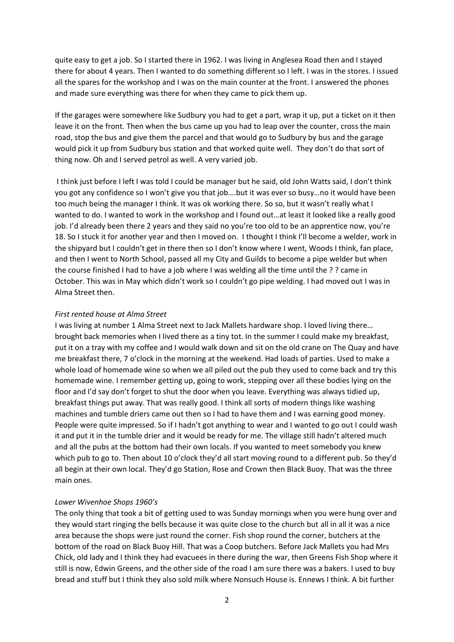quite easy to get a job. So I started there in 1962. I was living in Anglesea Road then and I stayed there for about 4 years. Then I wanted to do something different so I left. I was in the stores. I issued all the spares for the workshop and I was on the main counter at the front. I answered the phones and made sure everything was there for when they came to pick them up.

If the garages were somewhere like Sudbury you had to get a part, wrap it up, put a ticket on it then leave it on the front. Then when the bus came up you had to leap over the counter, cross the main road, stop the bus and give them the parcel and that would go to Sudbury by bus and the garage would pick it up from Sudbury bus station and that worked quite well. They don't do that sort of thing now. Oh and I served petrol as well. A very varied job.

I think just before I left I was told I could be manager but he said, old John Watts said, I don't think you got any confidence so I won't give you that job….but it was ever so busy…no it would have been too much being the manager I think. It was ok working there. So so, but it wasn't really what I wanted to do. I wanted to work in the workshop and I found out…at least it looked like a really good job. I'd already been there 2 years and they said no you're too old to be an apprentice now, you're 18. So I stuck it for another year and then I moved on. I thought I think I'll become a welder, work in the shipyard but I couldn't get in there then so I don't know where I went, Woods I think, fan place, and then I went to North School, passed all my City and Guilds to become a pipe welder but when the course finished I had to have a job where I was welding all the time until the ? ? came in October. This was in May which didn't work so I couldn't go pipe welding. I had moved out I was in Alma Street then.

### *First rented house at Alma Street*

I was living at number 1 Alma Street next to Jack Mallets hardware shop. I loved living there… brought back memories when I lived there as a tiny tot. In the summer I could make my breakfast, put it on a tray with my coffee and I would walk down and sit on the old crane on The Quay and have me breakfast there, 7 o'clock in the morning at the weekend. Had loads of parties. Used to make a whole load of homemade wine so when we all piled out the pub they used to come back and try this homemade wine. I remember getting up, going to work, stepping over all these bodies lying on the floor and I'd say don't forget to shut the door when you leave. Everything was always tidied up, breakfast things put away. That was really good. I think all sorts of modern things like washing machines and tumble driers came out then so I had to have them and I was earning good money. People were quite impressed. So if I hadn't got anything to wear and I wanted to go out I could wash it and put it in the tumble drier and it would be ready for me. The village still hadn't altered much and all the pubs at the bottom had their own locals. If you wanted to meet somebody you knew which pub to go to. Then about 10 o'clock they'd all start moving round to a different pub. So they'd all begin at their own local. They'd go Station, Rose and Crown then Black Buoy. That was the three main ones.

# *Lower Wivenhoe Shops 1960's*

The only thing that took a bit of getting used to was Sunday mornings when you were hung over and they would start ringing the bells because it was quite close to the church but all in all it was a nice area because the shops were just round the corner. Fish shop round the corner, butchers at the bottom of the road on Black Buoy Hill. That was a Coop butchers. Before Jack Mallets you had Mrs Chick, old lady and I think they had evacuees in there during the war, then Greens Fish Shop where it still is now, Edwin Greens, and the other side of the road I am sure there was a bakers. I used to buy bread and stuff but I think they also sold milk where Nonsuch House is. Ennews I think. A bit further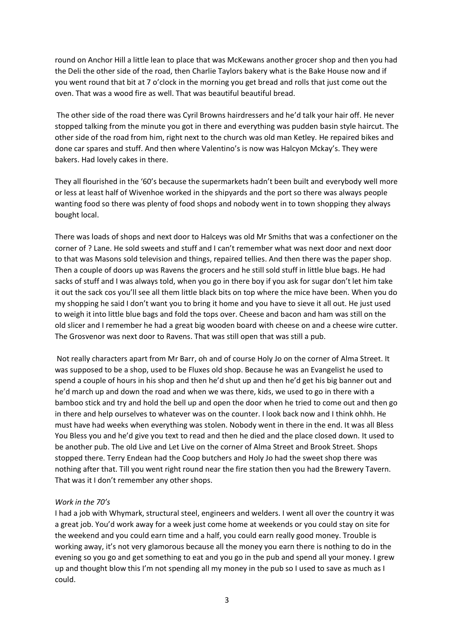round on Anchor Hill a little lean to place that was McKewans another grocer shop and then you had the Deli the other side of the road, then Charlie Taylors bakery what is the Bake House now and if you went round that bit at 7 o'clock in the morning you get bread and rolls that just come out the oven. That was a wood fire as well. That was beautiful beautiful bread.

The other side of the road there was Cyril Browns hairdressers and he'd talk your hair off. He never stopped talking from the minute you got in there and everything was pudden basin style haircut. The other side of the road from him, right next to the church was old man Ketley. He repaired bikes and done car spares and stuff. And then where Valentino's is now was Halcyon Mckay's. They were bakers. Had lovely cakes in there.

They all flourished in the '60's because the supermarkets hadn't been built and everybody well more or less at least half of Wivenhoe worked in the shipyards and the port so there was always people wanting food so there was plenty of food shops and nobody went in to town shopping they always bought local.

There was loads of shops and next door to Halceys was old Mr Smiths that was a confectioner on the corner of ? Lane. He sold sweets and stuff and I can't remember what was next door and next door to that was Masons sold television and things, repaired tellies. And then there was the paper shop. Then a couple of doors up was Ravens the grocers and he still sold stuff in little blue bags. He had sacks of stuff and I was always told, when you go in there boy if you ask for sugar don't let him take it out the sack cos you'll see all them little black bits on top where the mice have been. When you do my shopping he said I don't want you to bring it home and you have to sieve it all out. He just used to weigh it into little blue bags and fold the tops over. Cheese and bacon and ham was still on the old slicer and I remember he had a great big wooden board with cheese on and a cheese wire cutter. The Grosvenor was next door to Ravens. That was still open that was still a pub.

Not really characters apart from Mr Barr, oh and of course Holy Jo on the corner of Alma Street. It was supposed to be a shop, used to be Fluxes old shop. Because he was an Evangelist he used to spend a couple of hours in his shop and then he'd shut up and then he'd get his big banner out and he'd march up and down the road and when we was there, kids, we used to go in there with a bamboo stick and try and hold the bell up and open the door when he tried to come out and then go in there and help ourselves to whatever was on the counter. I look back now and I think ohhh. He must have had weeks when everything was stolen. Nobody went in there in the end. It was all Bless You Bless you and he'd give you text to read and then he died and the place closed down. It used to be another pub. The old Live and Let Live on the corner of Alma Street and Brook Street. Shops stopped there. Terry Endean had the Coop butchers and Holy Jo had the sweet shop there was nothing after that. Till you went right round near the fire station then you had the Brewery Tavern. That was it I don't remember any other shops.

### *Work in the 70's*

I had a job with Whymark, structural steel, engineers and welders. I went all over the country it was a great job. You'd work away for a week just come home at weekends or you could stay on site for the weekend and you could earn time and a half, you could earn really good money. Trouble is working away, it's not very glamorous because all the money you earn there is nothing to do in the evening so you go and get something to eat and you go in the pub and spend all your money. I grew up and thought blow this I'm not spending all my money in the pub so I used to save as much as I could.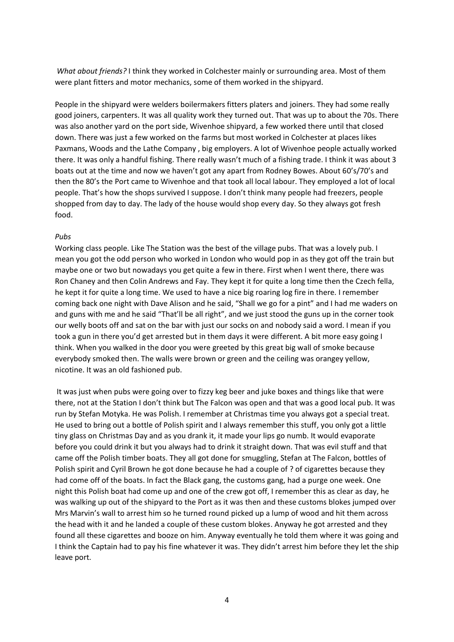*What about friends?* I think they worked in Colchester mainly or surrounding area. Most of them were plant fitters and motor mechanics, some of them worked in the shipyard.

People in the shipyard were welders boilermakers fitters platers and joiners. They had some really good joiners, carpenters. It was all quality work they turned out. That was up to about the 70s. There was also another yard on the port side, Wivenhoe shipyard, a few worked there until that closed down. There was just a few worked on the farms but most worked in Colchester at places likes Paxmans, Woods and the Lathe Company , big employers. A lot of Wivenhoe people actually worked there. It was only a handful fishing. There really wasn't much of a fishing trade. I think it was about 3 boats out at the time and now we haven't got any apart from Rodney Bowes. About 60's/70's and then the 80's the Port came to Wivenhoe and that took all local labour. They employed a lot of local people. That's how the shops survived I suppose. I don't think many people had freezers, people shopped from day to day. The lady of the house would shop every day. So they always got fresh food.

# *Pubs*

Working class people. Like The Station was the best of the village pubs. That was a lovely pub. I mean you got the odd person who worked in London who would pop in as they got off the train but maybe one or two but nowadays you get quite a few in there. First when I went there, there was Ron Chaney and then Colin Andrews and Fay. They kept it for quite a long time then the Czech fella, he kept it for quite a long time. We used to have a nice big roaring log fire in there. I remember coming back one night with Dave Alison and he said, "Shall we go for a pint" and I had me waders on and guns with me and he said "That'll be all right", and we just stood the guns up in the corner took our welly boots off and sat on the bar with just our socks on and nobody said a word. I mean if you took a gun in there you'd get arrested but in them days it were different. A bit more easy going I think. When you walked in the door you were greeted by this great big wall of smoke because everybody smoked then. The walls were brown or green and the ceiling was orangey yellow, nicotine. It was an old fashioned pub.

It was just when pubs were going over to fizzy keg beer and juke boxes and things like that were there, not at the Station I don't think but The Falcon was open and that was a good local pub. It was run by Stefan Motyka. He was Polish. I remember at Christmas time you always got a special treat. He used to bring out a bottle of Polish spirit and I always remember this stuff, you only got a little tiny glass on Christmas Day and as you drank it, it made your lips go numb. It would evaporate before you could drink it but you always had to drink it straight down. That was evil stuff and that came off the Polish timber boats. They all got done for smuggling, Stefan at The Falcon, bottles of Polish spirit and Cyril Brown he got done because he had a couple of ? of cigarettes because they had come off of the boats. In fact the Black gang, the customs gang, had a purge one week. One night this Polish boat had come up and one of the crew got off, I remember this as clear as day, he was walking up out of the shipyard to the Port as it was then and these customs blokes jumped over Mrs Marvin's wall to arrest him so he turned round picked up a lump of wood and hit them across the head with it and he landed a couple of these custom blokes. Anyway he got arrested and they found all these cigarettes and booze on him. Anyway eventually he told them where it was going and I think the Captain had to pay his fine whatever it was. They didn't arrest him before they let the ship leave port.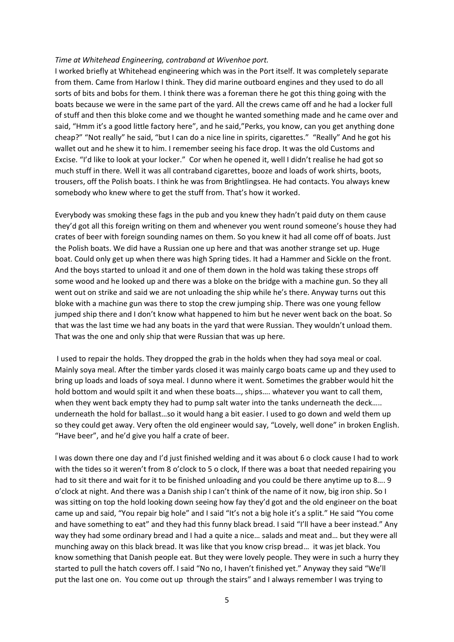#### *Time at Whitehead Engineering, contraband at Wivenhoe port.*

I worked briefly at Whitehead engineering which was in the Port itself. It was completely separate from them. Came from Harlow I think. They did marine outboard engines and they used to do all sorts of bits and bobs for them. I think there was a foreman there he got this thing going with the boats because we were in the same part of the yard. All the crews came off and he had a locker full of stuff and then this bloke come and we thought he wanted something made and he came over and said, "Hmm it's a good little factory here", and he said,"Perks, you know, can you get anything done cheap?" "Not really" he said, "but I can do a nice line in spirits, cigarettes." "Really" And he got his wallet out and he shew it to him. I remember seeing his face drop. It was the old Customs and Excise. "I'd like to look at your locker." Cor when he opened it, well I didn't realise he had got so much stuff in there. Well it was all contraband cigarettes, booze and loads of work shirts, boots, trousers, off the Polish boats. I think he was from Brightlingsea. He had contacts. You always knew somebody who knew where to get the stuff from. That's how it worked.

Everybody was smoking these fags in the pub and you knew they hadn't paid duty on them cause they'd got all this foreign writing on them and whenever you went round someone's house they had crates of beer with foreign sounding names on them. So you knew it had all come off of boats. Just the Polish boats. We did have a Russian one up here and that was another strange set up. Huge boat. Could only get up when there was high Spring tides. It had a Hammer and Sickle on the front. And the boys started to unload it and one of them down in the hold was taking these strops off some wood and he looked up and there was a bloke on the bridge with a machine gun. So they all went out on strike and said we are not unloading the ship while he's there. Anyway turns out this bloke with a machine gun was there to stop the crew jumping ship. There was one young fellow jumped ship there and I don't know what happened to him but he never went back on the boat. So that was the last time we had any boats in the yard that were Russian. They wouldn't unload them. That was the one and only ship that were Russian that was up here.

I used to repair the holds. They dropped the grab in the holds when they had soya meal or coal. Mainly soya meal. After the timber yards closed it was mainly cargo boats came up and they used to bring up loads and loads of soya meal. I dunno where it went. Sometimes the grabber would hit the hold bottom and would spilt it and when these boats…, ships…. whatever you want to call them, when they went back empty they had to pump salt water into the tanks underneath the deck….. underneath the hold for ballast…so it would hang a bit easier. I used to go down and weld them up so they could get away. Very often the old engineer would say, "Lovely, well done" in broken English. "Have beer", and he'd give you half a crate of beer.

I was down there one day and I'd just finished welding and it was about 6 o clock cause I had to work with the tides so it weren't from 8 o'clock to 5 o clock, If there was a boat that needed repairing you had to sit there and wait for it to be finished unloading and you could be there anytime up to 8…. 9 o'clock at night. And there was a Danish ship I can't think of the name of it now, big iron ship. So I was sitting on top the hold looking down seeing how fay they'd got and the old engineer on the boat came up and said, "You repair big hole" and I said "It's not a big hole it's a split." He said "You come and have something to eat" and they had this funny black bread. I said "I'll have a beer instead." Any way they had some ordinary bread and I had a quite a nice… salads and meat and… but they were all munching away on this black bread. It was like that you know crisp bread… it was jet black. You know something that Danish people eat. But they were lovely people. They were in such a hurry they started to pull the hatch covers off. I said "No no, I haven't finished yet." Anyway they said "We'll put the last one on. You come out up through the stairs" and I always remember I was trying to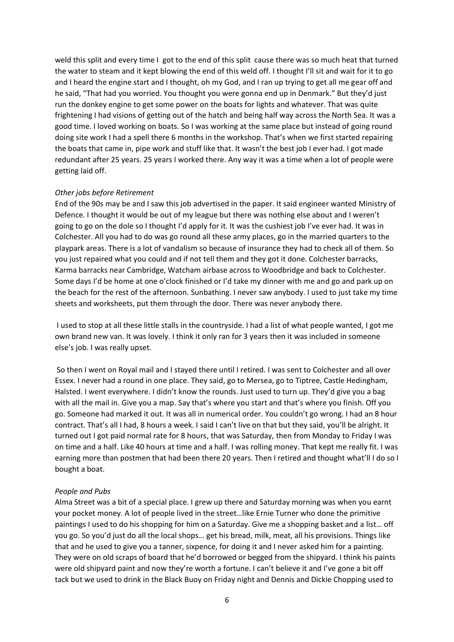weld this split and every time I got to the end of this split cause there was so much heat that turned the water to steam and it kept blowing the end of this weld off. I thought I'll sit and wait for it to go and I heard the engine start and I thought, oh my God, and I ran up trying to get all me gear off and he said, "That had you worried. You thought you were gonna end up in Denmark." But they'd just run the donkey engine to get some power on the boats for lights and whatever. That was quite frightening I had visions of getting out of the hatch and being half way across the North Sea. It was a good time. I loved working on boats. So I was working at the same place but instead of going round doing site work I had a spell there 6 months in the workshop. That's when we first started repairing the boats that came in, pipe work and stuff like that. It wasn't the best job I ever had. I got made redundant after 25 years. 25 years I worked there. Any way it was a time when a lot of people were getting laid off.

### *Other jobs before Retirement*

End of the 90s may be and I saw this job advertised in the paper. It said engineer wanted Ministry of Defence. I thought it would be out of my league but there was nothing else about and I weren't going to go on the dole so I thought I'd apply for it. It was the cushiest job I've ever had. It was in Colchester. All you had to do was go round all these army places, go in the married quarters to the playpark areas. There is a lot of vandalism so because of insurance they had to check all of them. So you just repaired what you could and if not tell them and they got it done. Colchester barracks, Karma barracks near Cambridge, Watcham airbase across to Woodbridge and back to Colchester. Some days I'd be home at one o'clock finished or I'd take my dinner with me and go and park up on the beach for the rest of the afternoon. Sunbathing. I never saw anybody. I used to just take my time sheets and worksheets, put them through the door. There was never anybody there.

I used to stop at all these little stalls in the countryside. I had a list of what people wanted, I got me own brand new van. It was lovely. I think it only ran for 3 years then it was included in someone else's job. I was really upset.

So then I went on Royal mail and I stayed there until I retired. I was sent to Colchester and all over Essex. I never had a round in one place. They said, go to Mersea, go to Tiptree, Castle Hedingham, Halsted. I went everywhere. I didn't know the rounds. Just used to turn up. They'd give you a bag with all the mail in. Give you a map. Say that's where you start and that's where you finish. Off you go. Someone had marked it out. It was all in numerical order. You couldn't go wrong. I had an 8 hour contract. That's all I had, 8 hours a week. I said I can't live on that but they said, you'll be alright. It turned out I got paid normal rate for 8 hours, that was Saturday, then from Monday to Friday I was on time and a half. Like 40 hours at time and a half. I was rolling money. That kept me really fit. I was earning more than postmen that had been there 20 years. Then I retired and thought what'll I do so I bought a boat.

### *People and Pubs*

Alma Street was a bit of a special place. I grew up there and Saturday morning was when you earnt your pocket money. A lot of people lived in the street…like Ernie Turner who done the primitive paintings I used to do his shopping for him on a Saturday. Give me a shopping basket and a list… off you go. So you'd just do all the local shops… get his bread, milk, meat, all his provisions. Things like that and he used to give you a tanner, sixpence, for doing it and I never asked him for a painting. They were on old scraps of board that he'd borrowed or begged from the shipyard. I think his paints were old shipyard paint and now they're worth a fortune. I can't believe it and I've gone a bit off tack but we used to drink in the Black Buoy on Friday night and Dennis and Dickie Chopping used to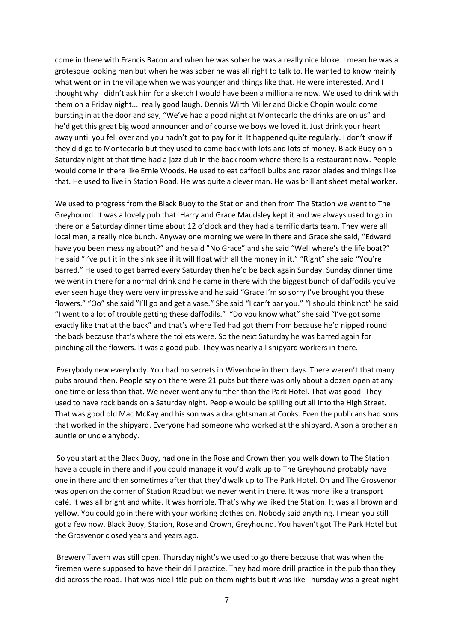come in there with Francis Bacon and when he was sober he was a really nice bloke. I mean he was a grotesque looking man but when he was sober he was all right to talk to. He wanted to know mainly what went on in the village when we was younger and things like that. He were interested. And I thought why I didn't ask him for a sketch I would have been a millionaire now. We used to drink with them on a Friday night... really good laugh. Dennis Wirth Miller and Dickie Chopin would come bursting in at the door and say, "We've had a good night at Montecarlo the drinks are on us" and he'd get this great big wood announcer and of course we boys we loved it. Just drink your heart away until you fell over and you hadn't got to pay for it. It happened quite regularly. I don't know if they did go to Montecarlo but they used to come back with lots and lots of money. Black Buoy on a Saturday night at that time had a jazz club in the back room where there is a restaurant now. People would come in there like Ernie Woods. He used to eat daffodil bulbs and razor blades and things like that. He used to live in Station Road. He was quite a clever man. He was brilliant sheet metal worker.

We used to progress from the Black Buoy to the Station and then from The Station we went to The Greyhound. It was a lovely pub that. Harry and Grace Maudsley kept it and we always used to go in there on a Saturday dinner time about 12 o'clock and they had a terrific darts team. They were all local men, a really nice bunch. Anyway one morning we were in there and Grace she said, "Edward have you been messing about?" and he said "No Grace" and she said "Well where's the life boat?" He said "I've put it in the sink see if it will float with all the money in it." "Right" she said "You're barred." He used to get barred every Saturday then he'd be back again Sunday. Sunday dinner time we went in there for a normal drink and he came in there with the biggest bunch of daffodils you've ever seen huge they were very impressive and he said "Grace I'm so sorry I've brought you these flowers." "Oo" she said "I'll go and get a vase." She said "I can't bar you." "I should think not" he said "I went to a lot of trouble getting these daffodils." "Do you know what" she said "I've got some exactly like that at the back" and that's where Ted had got them from because he'd nipped round the back because that's where the toilets were. So the next Saturday he was barred again for pinching all the flowers. It was a good pub. They was nearly all shipyard workers in there.

Everybody new everybody. You had no secrets in Wivenhoe in them days. There weren't that many pubs around then. People say oh there were 21 pubs but there was only about a dozen open at any one time or less than that. We never went any further than the Park Hotel. That was good. They used to have rock bands on a Saturday night. People would be spilling out all into the High Street. That was good old Mac McKay and his son was a draughtsman at Cooks. Even the publicans had sons that worked in the shipyard. Everyone had someone who worked at the shipyard. A son a brother an auntie or uncle anybody.

So you start at the Black Buoy, had one in the Rose and Crown then you walk down to The Station have a couple in there and if you could manage it you'd walk up to The Greyhound probably have one in there and then sometimes after that they'd walk up to The Park Hotel. Oh and The Grosvenor was open on the corner of Station Road but we never went in there. It was more like a transport café. It was all bright and white. It was horrible. That's why we liked the Station. It was all brown and yellow. You could go in there with your working clothes on. Nobody said anything. I mean you still got a few now, Black Buoy, Station, Rose and Crown, Greyhound. You haven't got The Park Hotel but the Grosvenor closed years and years ago.

Brewery Tavern was still open. Thursday night's we used to go there because that was when the firemen were supposed to have their drill practice. They had more drill practice in the pub than they did across the road. That was nice little pub on them nights but it was like Thursday was a great night